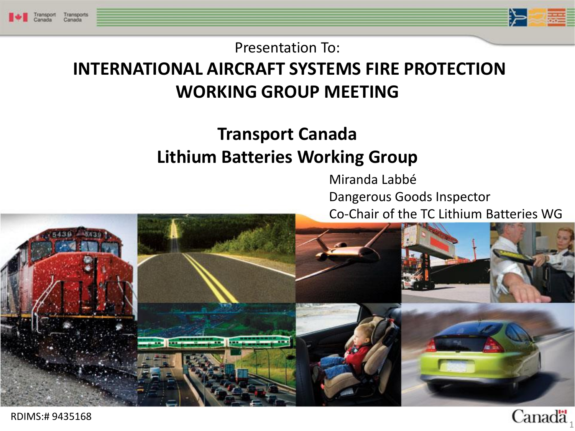



Canada

Presentation To:

### **INTERNATIONAL AIRCRAFT SYSTEMS FIRE PROTECTION WORKING GROUP MEETING**

#### **Transport Canada Lithium Batteries Working Group**

 Miranda Labbé Dangerous Goods Inspector Co-Chair of the TC Lithium Batteries WG



RDIMS:# 9435168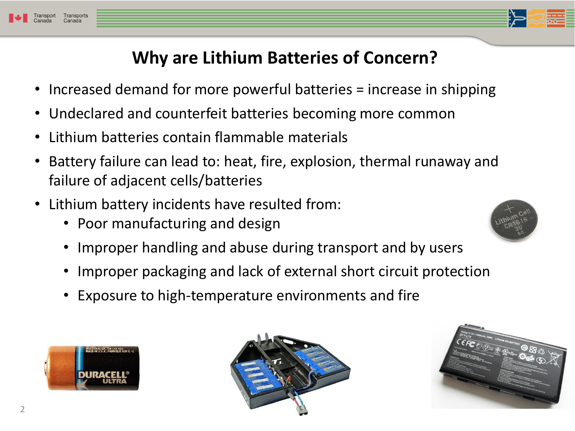

- Increased demand for more powerful batteries = increase in shipping
- Undeclared and counterfeit batteries becoming more common
- Lithium batteries contain flammable materials
- Battery failure can lead to: heat, fire, explosion, thermal runaway and failure of adjacent cells/batteries
- Lithium battery incidents have resulted from:
	- Poor manufacturing and design
	- Improper handling and abuse during transport and by users
	- Improper packaging and lack of external short circuit protection
	- Exposure to high-temperature environments and fire







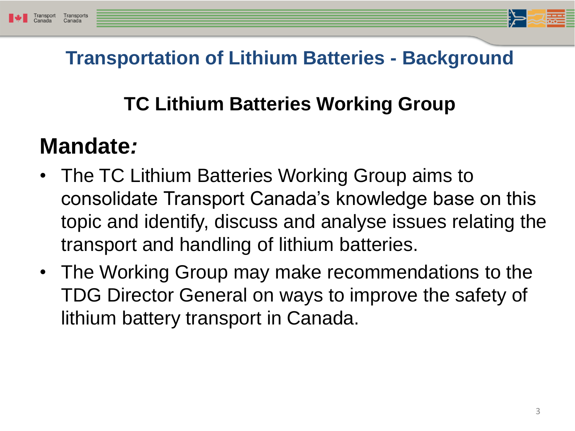

### **Transportation of Lithium Batteries - Background**

### **TC Lithium Batteries Working Group**

## **Mandate***:*

- The TC Lithium Batteries Working Group aims to consolidate Transport Canada's knowledge base on this topic and identify, discuss and analyse issues relating the transport and handling of lithium batteries.
- The Working Group may make recommendations to the TDG Director General on ways to improve the safety of lithium battery transport in Canada.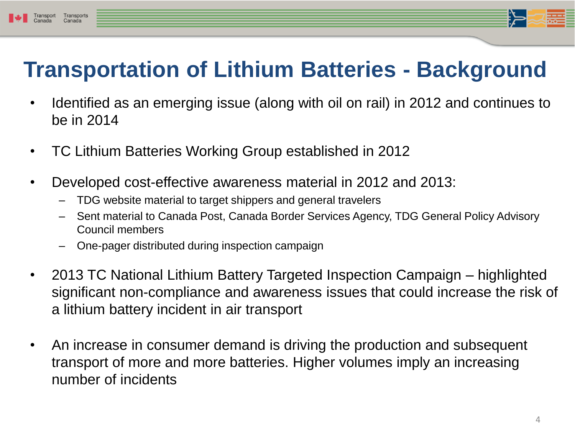## **Transportation of Lithium Batteries - Background**

- Identified as an emerging issue (along with oil on rail) in 2012 and continues to be in 2014
- TC Lithium Batteries Working Group established in 2012
- Developed cost-effective awareness material in 2012 and 2013:
	- TDG website material to target shippers and general travelers
	- Sent material to Canada Post, Canada Border Services Agency, TDG General Policy Advisory Council members
	- One-pager distributed during inspection campaign
- 2013 TC National Lithium Battery Targeted Inspection Campaign highlighted significant non-compliance and awareness issues that could increase the risk of a lithium battery incident in air transport
- An increase in consumer demand is driving the production and subsequent transport of more and more batteries. Higher volumes imply an increasing number of incidents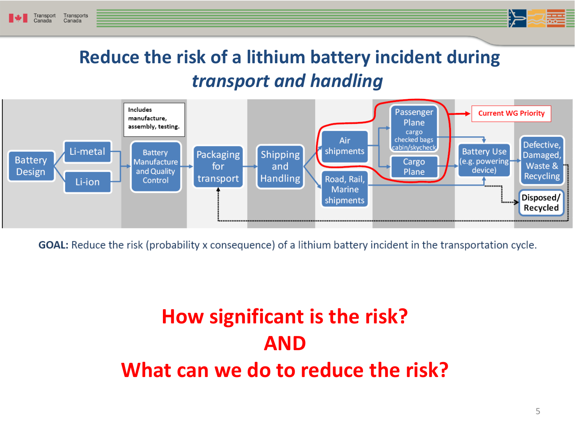

**Aim of the TC Lithium Batteries WG:**



**GOAL:** Reduce the risk (probability x consequence) of a lithium battery incident in the transportation cycle.

## **How significant is the risk? AND What can we do to reduce the risk?**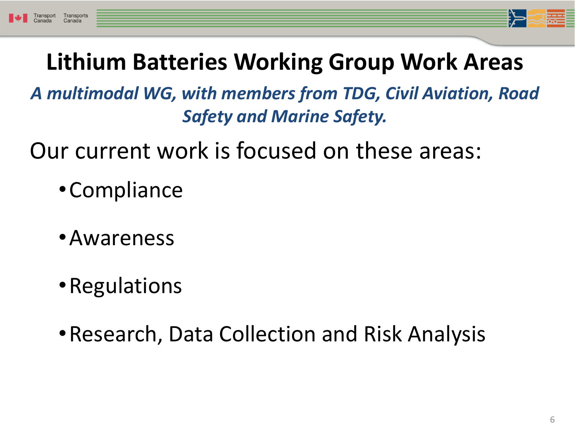*A multimodal WG, with members from TDG, Civil Aviation, Road Safety and Marine Safety.* 

Our current work is focused on these areas:

- •Compliance
- •Awareness
- •Regulations
- •Research, Data Collection and Risk Analysis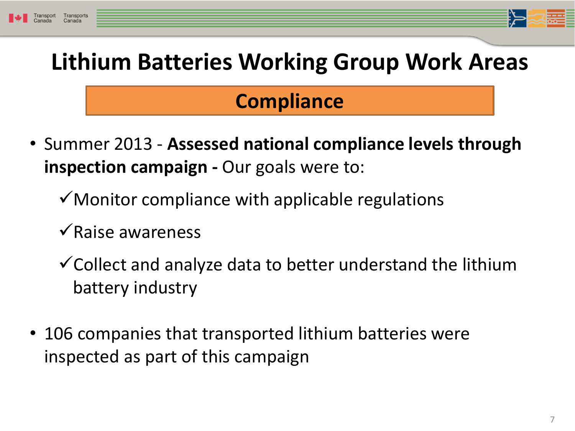## **Compliance**

- Summer 2013 **Assessed national compliance levels through inspection campaign -** Our goals were to:
	- $\checkmark$  Monitor compliance with applicable regulations
	- $\sqrt{\text{Raise}}$  awareness
	- $\checkmark$  Collect and analyze data to better understand the lithium battery industry
- 106 companies that transported lithium batteries were inspected as part of this campaign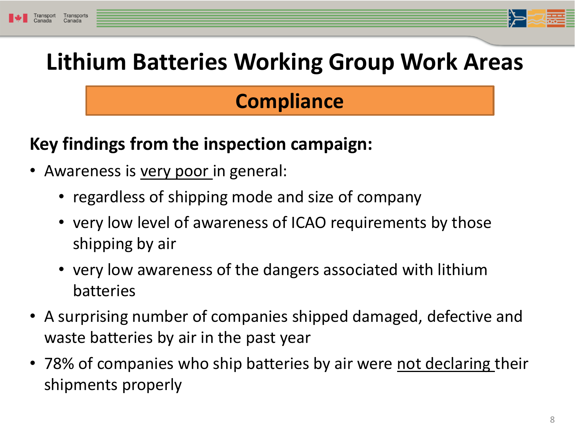### **Compliance**

#### **Key findings from the inspection campaign:**

- Awareness is very poor in general:
	- regardless of shipping mode and size of company
	- very low level of awareness of ICAO requirements by those shipping by air
	- very low awareness of the dangers associated with lithium batteries
- A surprising number of companies shipped damaged, defective and waste batteries by air in the past year
- 78% of companies who ship batteries by air were not declaring their shipments properly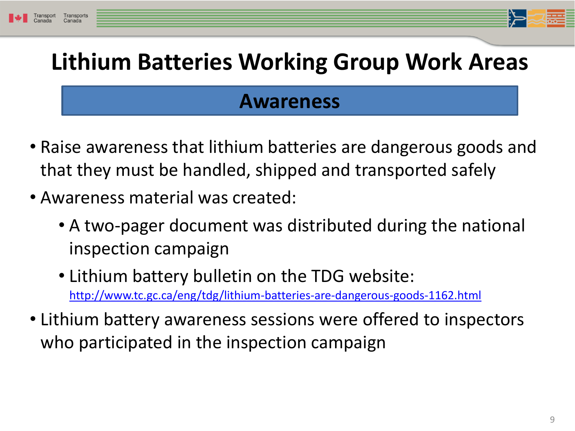### **Awareness**

- Raise awareness that lithium batteries are dangerous goods and that they must be handled, shipped and transported safely
- Awareness material was created:
	- A two-pager document was distributed during the national inspection campaign
	- Lithium battery bulletin on the TDG website: <http://www.tc.gc.ca/eng/tdg/lithium-batteries-are-dangerous-goods-1162.html>
- Lithium battery awareness sessions were offered to inspectors who participated in the inspection campaign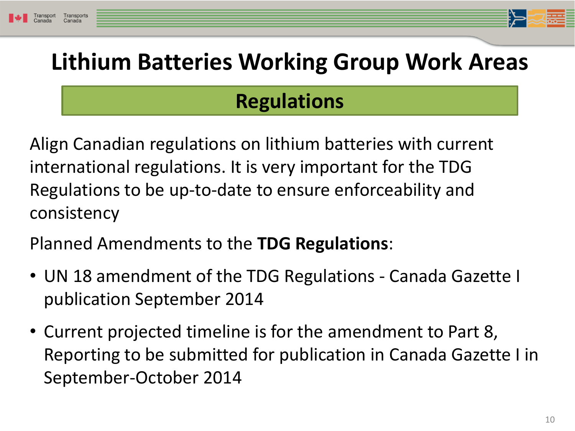## **Regulations**

Align Canadian regulations on lithium batteries with current international regulations. It is very important for the TDG Regulations to be up-to-date to ensure enforceability and consistency

Planned Amendments to the **TDG Regulations**:

- UN 18 amendment of the TDG Regulations Canada Gazette I publication September 2014
- Current projected timeline is for the amendment to Part 8, Reporting to be submitted for publication in Canada Gazette I in September-October 2014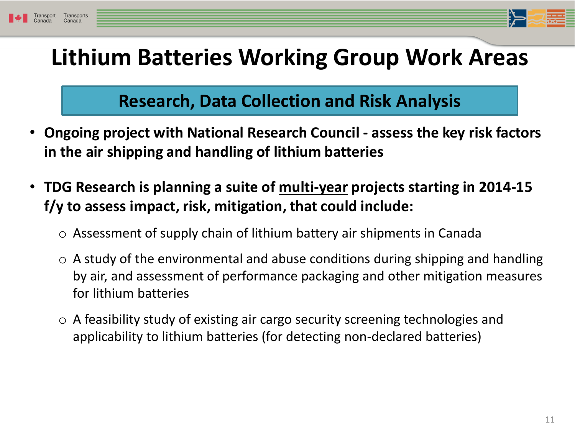

#### **Research, Data Collection and Risk Analysis**

- **Ongoing project with National Research Council - assess the key risk factors in the air shipping and handling of lithium batteries**
- **TDG Research is planning a suite of multi-year projects starting in 2014-15 f/y to assess impact, risk, mitigation, that could include:**
	- o Assessment of supply chain of lithium battery air shipments in Canada
	- $\circ$  A study of the environmental and abuse conditions during shipping and handling by air, and assessment of performance packaging and other mitigation measures for lithium batteries
	- o A feasibility study of existing air cargo security screening technologies and applicability to lithium batteries (for detecting non-declared batteries)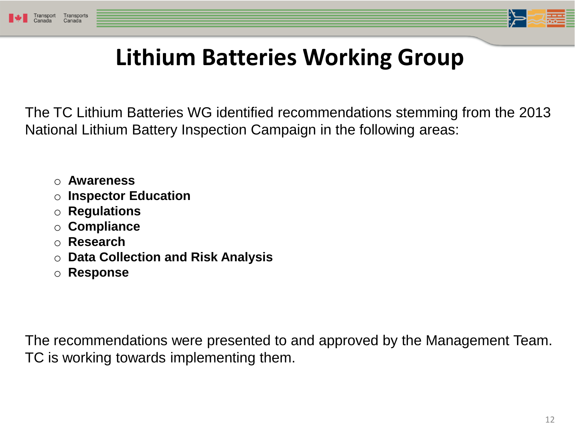



# **Lithium Batteries Working Group**

The TC Lithium Batteries WG identified recommendations stemming from the 2013 National Lithium Battery Inspection Campaign in the following areas:

- o **Awareness**
- o **Inspector Education**
- o **Regulations**
- o **Compliance**
- o **Research**
- o **Data Collection and Risk Analysis**
- o **Response**

The recommendations were presented to and approved by the Management Team. TC is working towards implementing them.